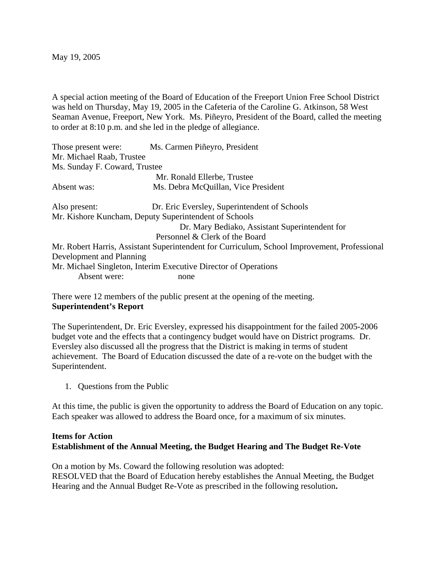May 19, 2005

A special action meeting of the Board of Education of the Freeport Union Free School District was held on Thursday, May 19, 2005 in the Cafeteria of the Caroline G. Atkinson, 58 West Seaman Avenue, Freeport, New York. Ms. Piñeyro, President of the Board, called the meeting to order at 8:10 p.m. and she led in the pledge of allegiance.

| Those present were:                                                                          | Ms. Carmen Piñeyro, President                  |
|----------------------------------------------------------------------------------------------|------------------------------------------------|
| Mr. Michael Raab, Trustee                                                                    |                                                |
| Ms. Sunday F. Coward, Trustee                                                                |                                                |
|                                                                                              | Mr. Ronald Ellerbe, Trustee                    |
| Absent was:                                                                                  | Ms. Debra McQuillan, Vice President            |
| Also present:                                                                                | Dr. Eric Eversley, Superintendent of Schools   |
| Mr. Kishore Kuncham, Deputy Superintendent of Schools                                        |                                                |
|                                                                                              | Dr. Mary Bediako, Assistant Superintendent for |
| Personnel & Clerk of the Board                                                               |                                                |
| Mr. Robert Harris, Assistant Superintendent for Curriculum, School Improvement, Professional |                                                |
| Development and Planning                                                                     |                                                |
| Mr. Michael Singleton, Interim Executive Director of Operations                              |                                                |
| Absent were:                                                                                 | none                                           |

There were 12 members of the public present at the opening of the meeting. **Superintendent's Report**

The Superintendent, Dr. Eric Eversley, expressed his disappointment for the failed 2005-2006 budget vote and the effects that a contingency budget would have on District programs. Dr. Eversley also discussed all the progress that the District is making in terms of student achievement. The Board of Education discussed the date of a re-vote on the budget with the Superintendent.

1. Questions from the Public

At this time, the public is given the opportunity to address the Board of Education on any topic. Each speaker was allowed to address the Board once, for a maximum of six minutes.

## **Items for Action Establishment of the Annual Meeting, the Budget Hearing and The Budget Re-Vote**

On a motion by Ms. Coward the following resolution was adopted: RESOLVED that the Board of Education hereby establishes the Annual Meeting, the Budget Hearing and the Annual Budget Re-Vote as prescribed in the following resolution**.**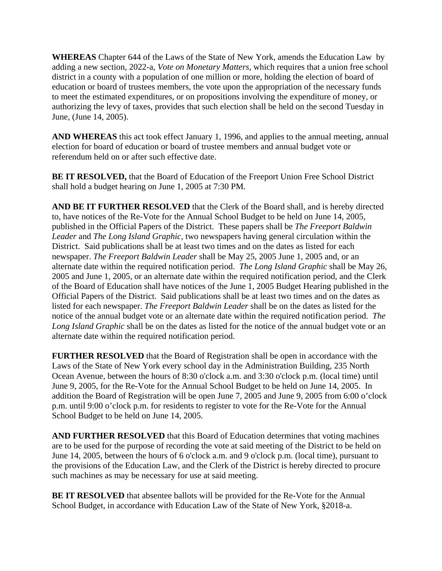**WHEREAS** Chapter 644 of the Laws of the State of New York, amends the Education Law by adding a new section, 2022-a, *Vote on Monetary Matters*, which requires that a union free school district in a county with a population of one million or more, holding the election of board of education or board of trustees members, the vote upon the appropriation of the necessary funds to meet the estimated expenditures, or on propositions involving the expenditure of money, or authorizing the levy of taxes, provides that such election shall be held on the second Tuesday in June, (June 14, 2005).

**AND WHEREAS** this act took effect January 1, 1996, and applies to the annual meeting, annual election for board of education or board of trustee members and annual budget vote or referendum held on or after such effective date.

**BE IT RESOLVED,** that the Board of Education of the Freeport Union Free School District shall hold a budget hearing on June 1, 2005 at 7:30 PM.

**AND BE IT FURTHER RESOLVED** that the Clerk of the Board shall, and is hereby directed to, have notices of the Re-Vote for the Annual School Budget to be held on June 14, 2005, published in the Official Papers of the District. These papers shall be *The Freeport Baldwin Leader* and *The Long Island Graphic*, two newspapers having general circulation within the District. Said publications shall be at least two times and on the dates as listed for each newspaper. *The Freeport Baldwin Leader* shall be May 25, 2005 June 1, 2005 and, or an alternate date within the required notification period. *The Long Island Graphic* shall be May 26, 2005 and June 1, 2005, or an alternate date within the required notification period, and the Clerk of the Board of Education shall have notices of the June 1, 2005 Budget Hearing published in the Official Papers of the District. Said publications shall be at least two times and on the dates as listed for each newspaper. *The Freeport Baldwin Leader* shall be on the dates as listed for the notice of the annual budget vote or an alternate date within the required notification period. *The Long Island Graphic* shall be on the dates as listed for the notice of the annual budget vote or an alternate date within the required notification period.

**FURTHER RESOLVED** that the Board of Registration shall be open in accordance with the Laws of the State of New York every school day in the Administration Building, 235 North Ocean Avenue, between the hours of 8:30 o'clock a.m. and 3:30 o'clock p.m. (local time) until June 9, 2005, for the Re-Vote for the Annual School Budget to be held on June 14, 2005. In addition the Board of Registration will be open June 7, 2005 and June 9, 2005 from 6:00 o'clock p.m. until 9:00 o'clock p.m. for residents to register to vote for the Re-Vote for the Annual School Budget to be held on June 14, 2005.

**AND FURTHER RESOLVED** that this Board of Education determines that voting machines are to be used for the purpose of recording the vote at said meeting of the District to be held on June 14, 2005, between the hours of 6 o'clock a.m. and 9 o'clock p.m. (local time), pursuant to the provisions of the Education Law, and the Clerk of the District is hereby directed to procure such machines as may be necessary for use at said meeting.

BE IT RESOLVED that absentee ballots will be provided for the Re-Vote for the Annual School Budget, in accordance with Education Law of the State of New York, §2018-a.